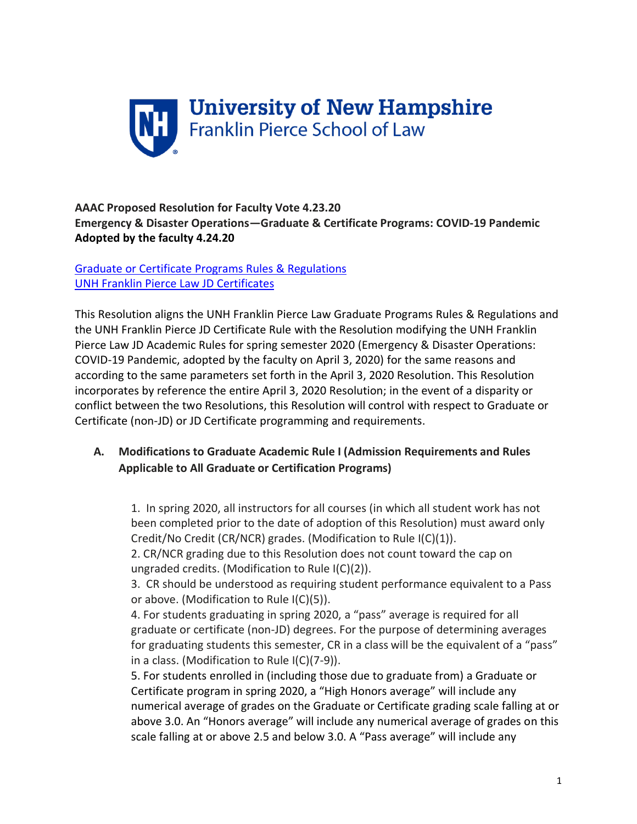

## **AAAC Proposed Resolution for Faculty Vote 4.23.20 Emergency & Disaster Operations—Graduate & Certificate Programs: COVID-19 Pandemic Adopted by the faculty 4.24.20**

Graduate or Certificate [Programs Rules & Regulations](https://catalog.unh.edu/law/graduate-programs-academic-rules-regulations/) [UNH Franklin Pierce Law JD Certificates](https://catalog.unh.edu/law/juris-doctor-academic-rules-regulations/certificates/)

This Resolution aligns the UNH Franklin Pierce Law Graduate Programs Rules & Regulations and the UNH Franklin Pierce JD Certificate Rule with the Resolution modifying the UNH Franklin Pierce Law JD Academic Rules for spring semester 2020 (Emergency & Disaster Operations: COVID-19 Pandemic, adopted by the faculty on April 3, 2020) for the same reasons and according to the same parameters set forth in the April 3, 2020 Resolution. This Resolution incorporates by reference the entire April 3, 2020 Resolution; in the event of a disparity or conflict between the two Resolutions, this Resolution will control with respect to Graduate or Certificate (non-JD) or JD Certificate programming and requirements.

# **A. Modifications to Graduate Academic Rule I (Admission Requirements and Rules Applicable to All Graduate or Certification Programs)**

1. In spring 2020, all instructors for all courses (in which all student work has not been completed prior to the date of adoption of this Resolution) must award only Credit/No Credit (CR/NCR) grades. (Modification to Rule I(C)(1)).

2. CR/NCR grading due to this Resolution does not count toward the cap on ungraded credits. (Modification to Rule I(C)(2)).

3. CR should be understood as requiring student performance equivalent to a Pass or above. (Modification to Rule I(C)(5)).

4. For students graduating in spring 2020, a "pass" average is required for all graduate or certificate (non-JD) degrees. For the purpose of determining averages for graduating students this semester, CR in a class will be the equivalent of a "pass" in a class. (Modification to Rule I(C)(7-9)).

5. For students enrolled in (including those due to graduate from) a Graduate or Certificate program in spring 2020, a "High Honors average" will include any numerical average of grades on the Graduate or Certificate grading scale falling at or above 3.0. An "Honors average" will include any numerical average of grades on this scale falling at or above 2.5 and below 3.0. A "Pass average" will include any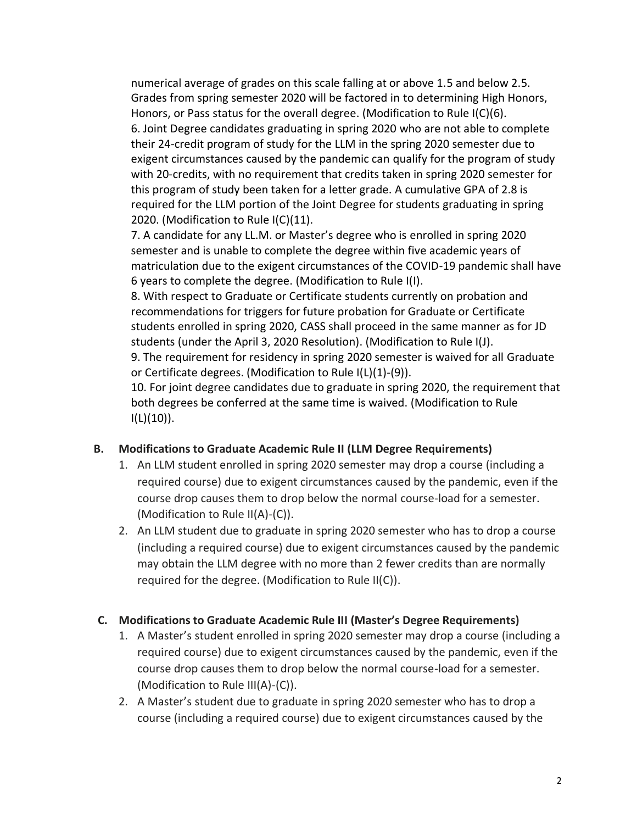numerical average of grades on this scale falling at or above 1.5 and below 2.5. Grades from spring semester 2020 will be factored in to determining High Honors, Honors, or Pass status for the overall degree. (Modification to Rule I(C)(6). 6. Joint Degree candidates graduating in spring 2020 who are not able to complete their 24-credit program of study for the LLM in the spring 2020 semester due to exigent circumstances caused by the pandemic can qualify for the program of study with 20-credits, with no requirement that credits taken in spring 2020 semester for this program of study been taken for a letter grade. A cumulative GPA of 2.8 is required for the LLM portion of the Joint Degree for students graduating in spring 2020. (Modification to Rule I(C)(11).

7. A candidate for any LL.M. or Master's degree who is enrolled in spring 2020 semester and is unable to complete the degree within five academic years of matriculation due to the exigent circumstances of the COVID-19 pandemic shall have 6 years to complete the degree. (Modification to Rule I(I).

8. With respect to Graduate or Certificate students currently on probation and recommendations for triggers for future probation for Graduate or Certificate students enrolled in spring 2020, CASS shall proceed in the same manner as for JD students (under the April 3, 2020 Resolution). (Modification to Rule I(J).

9. The requirement for residency in spring 2020 semester is waived for all Graduate or Certificate degrees. (Modification to Rule I(L)(1)-(9)).

10. For joint degree candidates due to graduate in spring 2020, the requirement that both degrees be conferred at the same time is waived. (Modification to Rule  $I(L)(10)$ ).

# **B. Modifications to Graduate Academic Rule II (LLM Degree Requirements)**

- 1. An LLM student enrolled in spring 2020 semester may drop a course (including a required course) due to exigent circumstances caused by the pandemic, even if the course drop causes them to drop below the normal course-load for a semester. (Modification to Rule II(A)-(C)).
- 2. An LLM student due to graduate in spring 2020 semester who has to drop a course (including a required course) due to exigent circumstances caused by the pandemic may obtain the LLM degree with no more than 2 fewer credits than are normally required for the degree. (Modification to Rule II(C)).

### **C. Modifications to Graduate Academic Rule III (Master's Degree Requirements)**

- 1. A Master's student enrolled in spring 2020 semester may drop a course (including a required course) due to exigent circumstances caused by the pandemic, even if the course drop causes them to drop below the normal course-load for a semester. (Modification to Rule III(A)-(C)).
- 2. A Master's student due to graduate in spring 2020 semester who has to drop a course (including a required course) due to exigent circumstances caused by the